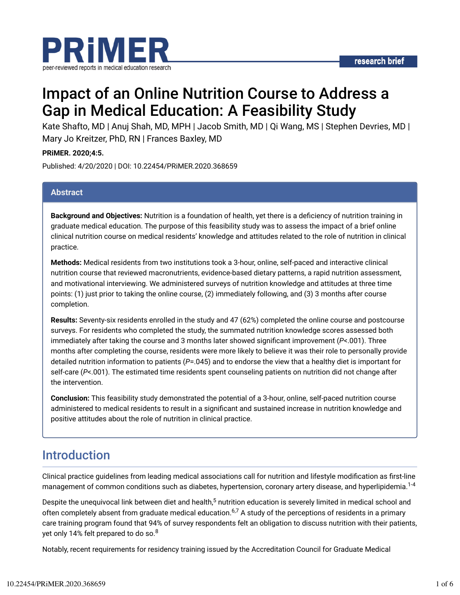

# Impact of an Online Nutrition Course to Address a Gap in Medical Education: A Feasibility Study

Kate Shafto, MD | Anuj Shah, MD, MPH | Jacob Smith, MD | Qi Wang, MS | Stephen Devries, MD | Mary Jo Kreitzer, PhD, RN | Frances Baxley, MD

**PRiMER. 2020;4:5.**

Published: 4/20/2020 | DOI: 10.22454/PRiMER.2020.368659

#### **Abstract**

**Background and Objectives:** Nutrition is a foundation of health, yet there is a deficiency of nutrition training in graduate medical education. The purpose of this feasibility study was to assess the impact of a brief online clinical nutrition course on medical residents' knowledge and attitudes related to the role of nutrition in clinical practice.

**Methods:** Medical residents from two institutions took a 3-hour, online, self-paced and interactive clinical nutrition course that reviewed macronutrients, evidence-based dietary patterns, a rapid nutrition assessment, and motivational interviewing. We administered surveys of nutrition knowledge and attitudes at three time points: (1) just prior to taking the online course, (2) immediately following, and (3) 3 months after course completion.

**Results:** Seventy-six residents enrolled in the study and 47 (62%) completed the online course and postcourse surveys. For residents who completed the study, the summated nutrition knowledge scores assessed both immediately after taking the course and 3 months later showed significant improvement (*P*<.001). Three months after completing the course, residents were more likely to believe it was their role to personally provide detailed nutrition information to patients (*P*=.045) and to endorse the view that a healthy diet is important for self-care (*P*<.001). The estimated time residents spent counseling patients on nutrition did not change after the intervention.

**Conclusion:** This feasibility study demonstrated the potential of a 3-hour, online, self-paced nutrition course administered to medical residents to result in a significant and sustained increase in nutrition knowledge and positive attitudes about the role of nutrition in clinical practice.

### Introduction

Clinical practice guidelines from leading medical associations call for nutrition and lifestyle modification as first-line management of common conditions such as diabetes, hypertension, coronary artery disease, and hyperlipidemia.<sup>1-4</sup>

Despite the unequivocal link between diet and health,<sup>5</sup> nutrition education is severely limited in medical school and often completely absent from graduate medical education.<sup>6,7</sup> A study of the perceptions of residents in a primary care training program found that 94% of survey respondents felt an obligation to discuss nutrition with their patients, yet only 14% felt prepared to do so. $^8$ 

Notably, recent requirements for residency training issued by the Accreditation Council for Graduate Medical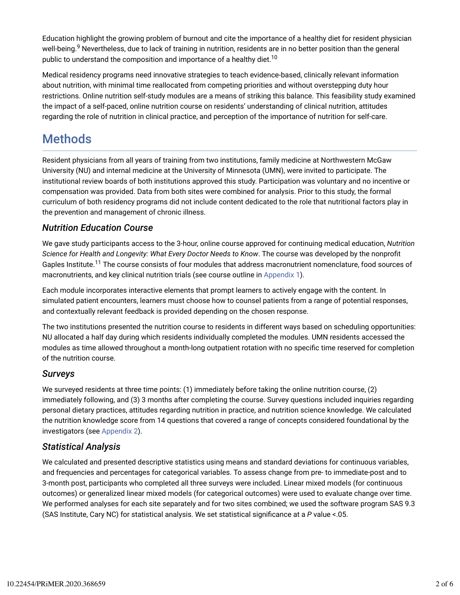Education highlight the growing problem of burnout and cite the importance of a healthy diet for resident physician well-being.<sup>9</sup> Nevertheless, due to lack of training in nutrition, residents are in no better position than the general public to understand the composition and importance of a healthy diet. $^{10}$ 

Medical residency programs need innovative strategies to teach evidence-based, clinically relevant information about nutrition, with minimal time reallocated from competing priorities and without overstepping duty hour restrictions. Online nutrition self-study modules are a means of striking this balance. This feasibility study examined the impact of a self-paced, online nutrition course on residents' understanding of clinical nutrition, attitudes regarding the role of nutrition in clinical practice, and perception of the importance of nutrition for self-care.

# **Methods**

Resident physicians from all years of training from two institutions, family medicine at Northwestern McGaw University (NU) and internal medicine at the University of Minnesota (UMN), were invited to participate. The institutional review boards of both institutions approved this study. Participation was voluntary and no incentive or compensation was provided. Data from both sites were combined for analysis. Prior to this study, the formal curriculum of both residency programs did not include content dedicated to the role that nutritional factors play in the prevention and management of chronic illness.

#### *Nutrition Education Course*

We gave study participants access to the 3-hour, online course approved for continuing medical education, *Nutrition Science for Health and Longevity: What Every Doctor Needs to Know. The course was developed by the nonprofit* Gaples Institute.<sup>11</sup> The course consists of four modules that address macronutrient nomenclature, food sources of macronutrients, and key clinical nutrition trials (see course outline in Appendix 1).

Each module incorporates interactive elements that prompt learners to actively engage with the content. In simulated patient encounters, learners must choose how to counsel patients from a range of potential responses, and contextually relevant feedback is provided depending on the chosen response.

The two institutions presented the nutrition course to residents in different ways based on scheduling opportunities: NU allocated a half day during which residents individually completed the modules. UMN residents accessed the modules as time allowed throughout a month-long outpatient rotation with no specific time reserved for completion of the nutrition course.

#### *Surveys*

We surveyed residents at three time points: (1) immediately before taking the online nutrition course, (2) immediately following, and (3) 3 months after completing the course. Survey questions included inquiries regarding personal dietary practices, attitudes regarding nutrition in practice, and nutrition science knowledge. We calculated the nutrition knowledge score from 14 questions that covered a range of concepts considered foundational by the investigators (see Appendix 2).

#### *Statistical Analysis*

We calculated and presented descriptive statistics using means and standard deviations for continuous variables, and frequencies and percentages for categorical variables. To assess change from pre- to immediate-post and to 3-month post, participants who completed all three surveys were included. Linear mixed models (for continuous outcomes) or generalized linear mixed models (for categorical outcomes) were used to evaluate change over time. We performed analyses for each site separately and for two sites combined; we used the software program SAS 9.3 (SAS Institute, Cary NC) for statistical analysis. We set statistical significance at a *P* value <.05.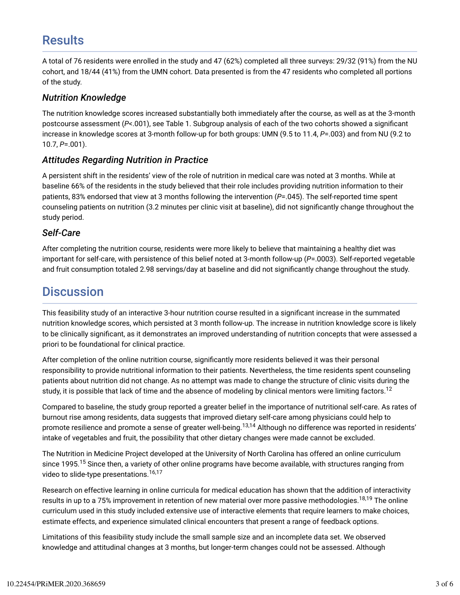# **Results**

A total of 76 residents were enrolled in the study and 47 (62%) completed all three surveys: 29/32 (91%) from the NU cohort, and 18/44 (41%) from the UMN cohort. Data presented is from the 47 residents who completed all portions of the study.

#### *Nutrition Knowledge*

The nutrition knowledge scores increased substantially both immediately after the course, as well as at the 3-month postcourse assessment (P<.001), see Table 1. Subgroup analysis of each of the two cohorts showed a significant increase in knowledge scores at 3-month follow-up for both groups: UMN (9.5 to 11.4, *P*=.003) and from NU (9.2 to 10.7, *P*=.001).

#### *Attitudes Regarding Nutrition in Practice*

A persistent shift in the residents' view of the role of nutrition in medical care was noted at 3 months. While at baseline 66% of the residents in the study believed that their role includes providing nutrition information to their patients, 83% endorsed that view at 3 months following the intervention (*P*=.045). The self-reported time spent counseling patients on nutrition (3.2 minutes per clinic visit at baseline), did not significantly change throughout the study period.

#### *Self-Care*

After completing the nutrition course, residents were more likely to believe that maintaining a healthy diet was important for self-care, with persistence of this belief noted at 3-month follow-up (*P*=.0003). Self-reported vegetable and fruit consumption totaled 2.98 servings/day at baseline and did not significantly change throughout the study.

### **Discussion**

This feasibility study of an interactive 3-hour nutrition course resulted in a significant increase in the summated nutrition knowledge scores, which persisted at 3 month follow-up. The increase in nutrition knowledge score is likely to be clinically significant, as it demonstrates an improved understanding of nutrition concepts that were assessed a priori to be foundational for clinical practice.

After completion of the online nutrition course, significantly more residents believed it was their personal responsibility to provide nutritional information to their patients. Nevertheless, the time residents spent counseling patients about nutrition did not change. As no attempt was made to change the structure of clinic visits during the study, it is possible that lack of time and the absence of modeling by clinical mentors were limiting factors.<sup>12</sup>

Compared to baseline, the study group reported a greater belief in the importance of nutritional self-care. As rates of burnout rise among residents, data suggests that improved dietary self-care among physicians could help to promote resilience and promote a sense of greater well-being.<sup>13,14</sup> Although no difference was reported in residents' intake of vegetables and fruit, the possibility that other dietary changes were made cannot be excluded.

The Nutrition in Medicine Project developed at the University of North Carolina has offered an online curriculum since 1995.<sup>15</sup> Since then, a variety of other online programs have become available, with structures ranging from video to slide-type presentations. 16,17

Research on effective learning in online curricula for medical education has shown that the addition of interactivity results in up to a 75% improvement in retention of new material over more passive methodologies.<sup>18,19</sup> The online curriculum used in this study included extensive use of interactive elements that require learners to make choices, estimate effects, and experience simulated clinical encounters that present a range of feedback options.

Limitations of this feasibility study include the small sample size and an incomplete data set. We observed knowledge and attitudinal changes at 3 months, but longer-term changes could not be assessed. Although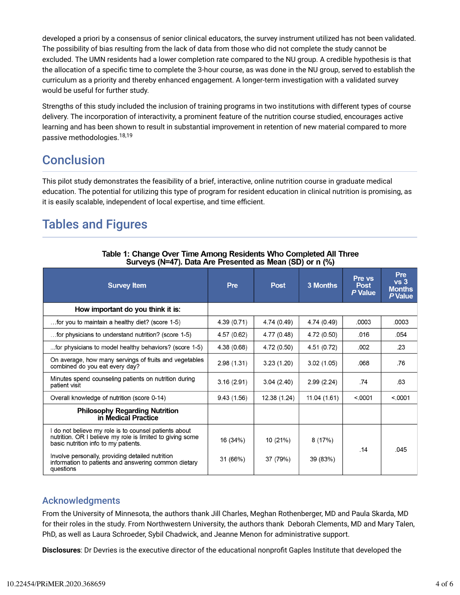developed a priori by a consensus of senior clinical educators, the survey instrument utilized has not been validated. The possibility of bias resulting from the lack of data from those who did not complete the study cannot be excluded. The UMN residents had a lower completion rate compared to the NU group. A credible hypothesis is that the allocation of a specific time to complete the 3-hour course, as was done in the NU group, served to establish the curriculum as a priority and thereby enhanced engagement. A longer-term investigation with a validated survey would be useful for further study.

Strengths of this study included the inclusion of training programs in two institutions with different types of course delivery. The incorporation of interactivity, a prominent feature of the nutrition course studied, encourages active learning and has been shown to result in substantial improvement in retention of new material compared to more passive methodologies.<sup>18,19</sup>

### **Conclusion**

This pilot study demonstrates the feasibility of a brief, interactive, online nutrition course in graduate medical education. The potential for utilizing this type of program for resident education in clinical nutrition is promising, as it is easily scalable, independent of local expertise, and time efficient.

## Tables and Figures

| <b>Survey Item</b>                                                                                                                                       | Pre         | <b>Post</b>  | 3 Months    | Pre vs<br><b>Post</b> | <b>Pre</b><br>vs <sub>3</sub><br><b>Months</b> |
|----------------------------------------------------------------------------------------------------------------------------------------------------------|-------------|--------------|-------------|-----------------------|------------------------------------------------|
|                                                                                                                                                          |             |              |             | P Value               | P Value                                        |
| How important do you think it is:                                                                                                                        |             |              |             |                       |                                                |
| for you to maintain a healthy diet? (score 1-5)                                                                                                          | 4.39 (0.71) | 4.74 (0.49)  | 4.74 (0.49) | .0003                 | .0003                                          |
| for physicians to understand nutrition? (score 1-5)                                                                                                      | 4.57 (0.62) | 4.77 (0.48)  | 4.72 (0.50) | .016                  | .054                                           |
| for physicians to model healthy behaviors? (score 1-5)                                                                                                   | 4.38 (0.68) | 4.72 (0.50)  | 4.51 (0.72) | .002                  | .23                                            |
| On average, how many servings of fruits and vegetables<br>combined do you eat every day?                                                                 | 2.98(1.31)  | 3.23(1.20)   | 3.02(1.05)  | .068                  | .76                                            |
| Minutes spend counseling patients on nutrition during<br>patient visit                                                                                   | 3.16(2.91)  | 3.04(2.40)   | 2.99(2.24)  | .74                   | .63                                            |
| Overall knowledge of nutrition (score 0-14)                                                                                                              | 9.43(1.56)  | 12.38 (1.24) | 11.04(1.61) | < .0001               | < 0.0001                                       |
| <b>Philosophy Regarding Nutrition</b><br>in Medical Practice                                                                                             |             |              |             |                       |                                                |
| do not believe my role is to counsel patients about<br>nutrition. OR I believe my role is limited to giving some<br>basic nutrition info to my patients. | 16 (34%)    | 10 (21%)     | 8(17%)      | .14                   | .045                                           |
| Involve personally, providing detailed nutrition<br>information to patients and answering common dietary<br>questions                                    | 31 (66%)    | 37 (79%)     | 39 (83%)    |                       |                                                |

Table 1: Change Over Time Among Residents Who Completed All Three Surveys (N=47). Data Are Presented as Mean (SD) or n (%)

#### Acknowledgments

From the University of Minnesota, the authors thank Jill Charles, Meghan Rothenberger, MD and Paula Skarda, MD for their roles in the study. From Northwestern University, the authors thank Deborah Clements, MD and Mary Talen, PhD, as well as Laura Schroeder, Sybil Chadwick, and Jeanne Menon for administrative support.

**Disclosures**: Dr Devries is the executive director of the educational nonprofit Gaples Institute that developed the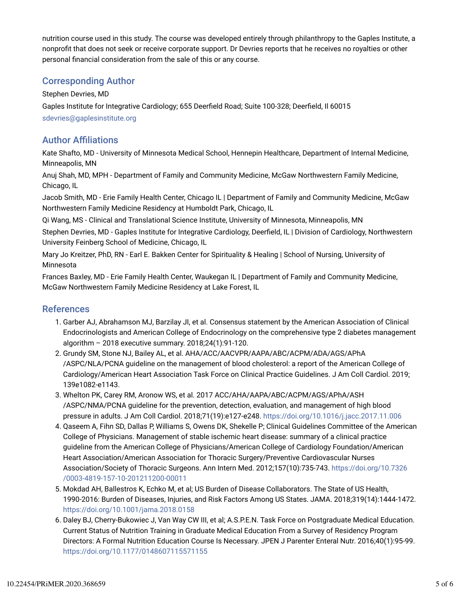nutrition course used in this study. The course was developed entirely through philanthropy to the Gaples Institute, a nonprofit that does not seek or receive corporate support. Dr Devries reports that he receives no royalties or other personal financial consideration from the sale of this or any course.

#### Corresponding Author

Stephen Devries, MD

Gaples Institute for Integrative Cardiology; 655 Deerfield Road; Suite 100-328; Deerfield, Il 60015 sdevries@gaplesinstitute.org

#### **Author Affiliations**

Kate Shafto, MD - University of Minnesota Medical School, Hennepin Healthcare, Department of Internal Medicine, Minneapolis, MN

Anuj Shah, MD, MPH - Department of Family and Community Medicine, McGaw Northwestern Family Medicine, Chicago, IL

Jacob Smith, MD - Erie Family Health Center, Chicago IL | Department of Family and Community Medicine, McGaw Northwestern Family Medicine Residency at Humboldt Park, Chicago, IL

Qi Wang, MS - Clinical and Translational Science Institute, University of Minnesota, Minneapolis, MN

Stephen Devries, MD - Gaples Institute for Integrative Cardiology, Deerfield, IL | Division of Cardiology, Northwestern University Feinberg School of Medicine, Chicago, IL

Mary Jo Kreitzer, PhD, RN - Earl E. Bakken Center for Spirituality & Healing | School of Nursing, University of Minnesota

Frances Baxley, MD - Erie Family Health Center, Waukegan IL | Department of Family and Community Medicine, McGaw Northwestern Family Medicine Residency at Lake Forest, IL

#### References

- 1. Garber AJ, Abrahamson MJ, Barzilay JI, et al. Consensus statement by the American Association of Clinical Endocrinologists and American College of Endocrinology on the comprehensive type 2 diabetes management algorithm – 2018 executive summary. 2018;24(1):91-120.
- 2. Grundy SM, Stone NJ, Bailey AL, et al. AHA/ACC/AACVPR/AAPA/ABC/ACPM/ADA/AGS/APhA /ASPC/NLA/PCNA guideline on the management of blood cholesterol: a report of the American College of Cardiology/American Heart Association Task Force on Clinical Practice Guidelines. J Am Coll Cardiol. 2019; 139e1082-e1143.
- 3. Whelton PK, Carey RM, Aronow WS, et al. 2017 ACC/AHA/AAPA/ABC/ACPM/AGS/APhA/ASH /ASPC/NMA/PCNA guideline for the prevention, detection, evaluation, and management of high blood pressure in adults. J Am Coll Cardiol. 2018;71(19):e127-e248. https://doi.org/10.1016/j.jacc.2017.11.006
- 4. Qaseem A, Fihn SD, Dallas P, Williams S, Owens DK, Shekelle P; Clinical Guidelines Committee of the American College of Physicians. Management of stable ischemic heart disease: summary of a clinical practice guideline from the American College of Physicians/American College of Cardiology Foundation/American Heart Association/American Association for Thoracic Surgery/Preventive Cardiovascular Nurses Association/Society of Thoracic Surgeons. Ann Intern Med. 2012;157(10):735-743. https://doi.org/10.7326 /0003-4819-157-10-201211200-00011
- 5. Mokdad AH, Ballestros K, Echko M, et al; US Burden of Disease Collaborators. The State of US Health, 1990-2016: Burden of Diseases, Injuries, and Risk Factors Among US States. JAMA. 2018;319(14):1444-1472. https://doi.org/10.1001/jama.2018.0158
- 6. Daley BJ, Cherry-Bukowiec J, Van Way CW III, et al; A.S.P.E.N. Task Force on Postgraduate Medical Education. Current Status of Nutrition Training in Graduate Medical Education From a Survey of Residency Program Directors: A Formal Nutrition Education Course Is Necessary. JPEN J Parenter Enteral Nutr. 2016;40(1):95-99. https://doi.org/10.1177/0148607115571155